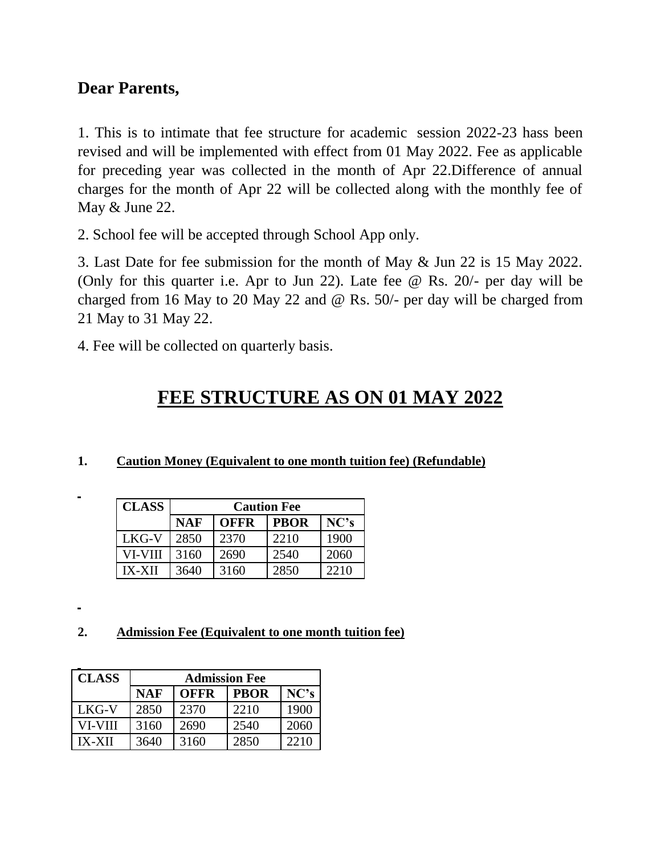## **Dear Parents,**

1. This is to intimate that fee structure for academic session 2022-23 hass been revised and will be implemented with effect from 01 May 2022. Fee as applicable for preceding year was collected in the month of Apr 22.Difference of annual charges for the month of Apr 22 will be collected along with the monthly fee of May & June 22.

2. School fee will be accepted through School App only.

3. Last Date for fee submission for the month of May & Jun 22 is 15 May 2022. (Only for this quarter i.e. Apr to Jun 22). Late fee @ Rs. 20/- per day will be charged from 16 May to 20 May 22 and @ Rs. 50/- per day will be charged from 21 May to 31 May 22.

4. Fee will be collected on quarterly basis.

# **FEE STRUCTURE AS ON 01 MAY 2022**

**1. Caution Money (Equivalent to one month tuition fee) (Refundable)**

| <b>CLASS</b>  | <b>Caution Fee</b> |             |             |      |
|---------------|--------------------|-------------|-------------|------|
|               | <b>NAF</b>         | <b>OFFR</b> | <b>PBOR</b> | NC's |
| LKG-V         | 2850               | 2370        | 2210        | 1900 |
| VI-VIII       | 3160               | 2690        | 2540        | 2060 |
| <b>IX-XII</b> | 3640               | 3160        | 2850        | 2210 |

**2. Admission Fee (Equivalent to one month tuition fee)**

| <b>CLASS</b>  | <b>Admission Fee</b> |             |             |      |
|---------------|----------------------|-------------|-------------|------|
|               | <b>NAF</b>           | <b>OFFR</b> | <b>PBOR</b> | NC's |
| LKG-V         | 2850                 | 2370        | 2210        | 1900 |
| VI-VIII       | 3160                 | 2690        | 2540        | 2060 |
| <b>IX-XII</b> | 3640                 | 3160        | 2850        | 2210 |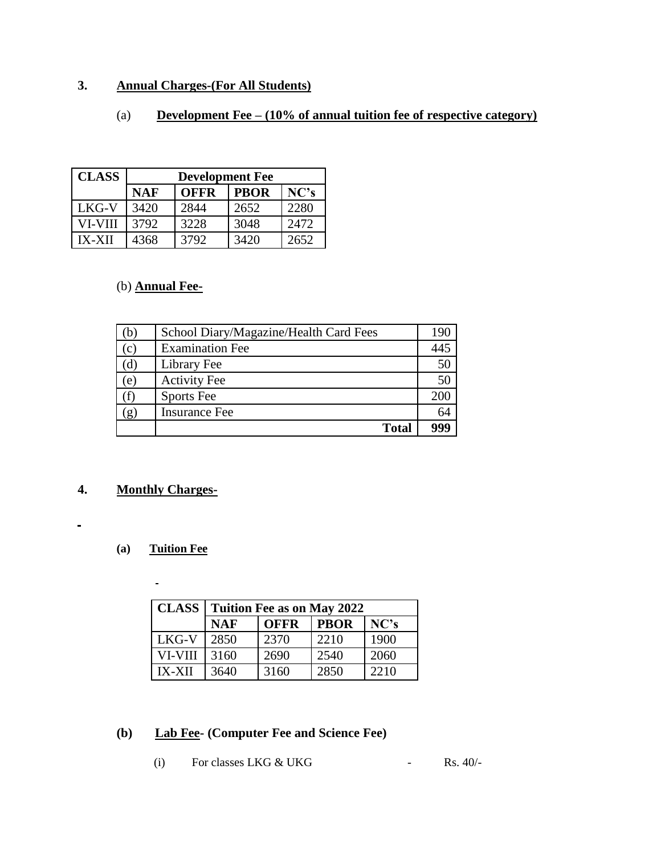### **3. Annual Charges-(For All Students)**

#### (a) **Development Fee – (10% of annual tuition fee of respective category)**

| <b>CLASS</b> | <b>Development Fee</b> |             |             |      |
|--------------|------------------------|-------------|-------------|------|
|              | <b>NAF</b>             | <b>OFFR</b> | <b>PBOR</b> | NC's |
| LKG-V        | 3420                   | 2844        | 2652        | 2280 |
| VI-VIII      | 3792                   | 3228        | 3048        | 2472 |
| IX-XII       | 4368                   | 3792        | 3420        | 2652 |

#### (b) **Annual Fee-**

| (b  | School Diary/Magazine/Health Card Fees | 190 |
|-----|----------------------------------------|-----|
| (c) | <b>Examination Fee</b>                 | 445 |
| (d) | Library Fee                            | 50  |
| (e) | <b>Activity Fee</b>                    | 50  |
|     | Sports Fee                             | 200 |
| (g) | <b>Insurance Fee</b>                   | 64  |
|     | <b>Total</b>                           | 999 |

#### **4. Monthly Charges-**

 $\blacksquare$ 

#### **(a) Tuition Fee**

 $\blacksquare$ 

| <b>CLASS</b>  | <b>Tuition Fee as on May 2022</b> |             |             |      |
|---------------|-----------------------------------|-------------|-------------|------|
|               | <b>NAF</b>                        | <b>OFFR</b> | <b>PBOR</b> | NC's |
| LKG-V         | 2850                              | 2370        | 2210        | 1900 |
| VI-VIII       | 3160                              | 2690        | 2540        | 2060 |
| <b>IX-XII</b> | 3640                              | 3160        | 2850        | 2210 |

#### **(b) Lab Fee- (Computer Fee and Science Fee)**

(i) For classes LKG  $&$  UKG - Rs. 40/-